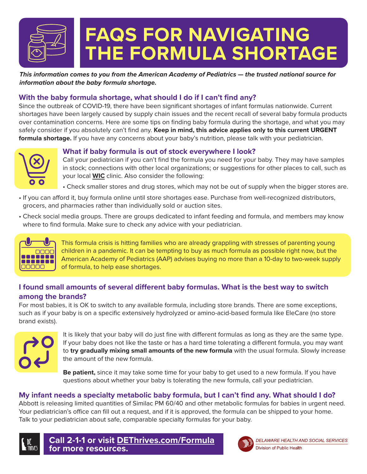

*This information comes to you from the American Academy of Pediatrics — the trusted national source for information about the baby formula shortage.*

# **With the baby formula shortage, what should I do if I can't find any?**

Since the outbreak of COVID-19, there have been significant shortages of infant formulas nationwide. Current shortages have been largely caused by supply chain issues and the recent recall of several baby formula products over contamination concerns. Here are some tips on finding baby formula during the shortage, and what you may safely consider if you absolutely can't find any. **Keep in mind, this advice applies only to this current URGENT formula shortage.** If you have any concerns about your baby's nutrition, please talk with your pediatrician.



#### **What if baby formula is out of stock everywhere I look?**

Call your pediatrician if you can't find the formula you need for your baby. They may have samples in stock; connections with other local organizations; or suggestions for other places to call, such as your local **[WIC](https://www.wicprogram.net/find-wic-clinic-near-me)** clinic. Also consider the following:

- Check smaller stores and drug stores, which may not be out of supply when the bigger stores are.
- If you can afford it, buy formula online until store shortages ease. Purchase from well-recognized distributors, grocers, and pharmacies rather than individually sold or auction sites.
- Check social media groups. There are groups dedicated to infant feeding and formula, and members may know where to find formula. Make sure to check any advice with your pediatrician.



This formula crisis is hitting families who are already grappling with stresses of parenting young children in a pandemic. It can be tempting to buy as much formula as possible right now, but the American Academy of Pediatrics (AAP) advises buying no more than a 10-day to two-week supply of formula, to help ease shortages.

# **I found small amounts of several different baby formulas. What is the best way to switch among the brands?**

For most babies, it is OK to switch to any available formula, including store brands. There are some exceptions, such as if your baby is on a specific extensively hydrolyzed or amino-acid-based formula like EleCare (no store brand exists).



It is likely that your baby will do just fine with different formulas as long as they are the same type. If your baby does not like the taste or has a hard time tolerating a different formula, you may want to **try gradually mixing small amounts of the new formula** with the usual formula. Slowly increase the amount of the new formula.

**Be patient,** since it may take some time for your baby to get used to a new formula. If you have questions about whether your baby is tolerating the new formula, call your pediatrician.

#### **My infant needs a specialty metabolic baby formula, but I can't find any. What should I do?**

Abbott is releasing limited quantities of Similac PM 60/40 and other metabolic formulas for babies in urgent need. Your pediatrician's office can fill out a request, and if it is approved, the formula can be shipped to your home. Talk to your pediatrician about safe, comparable specialty formulas for your baby.



**Call 2-1-1 or visit DE[Thrives.com/Formula](http://dethrives.com/formula) for more resources.**

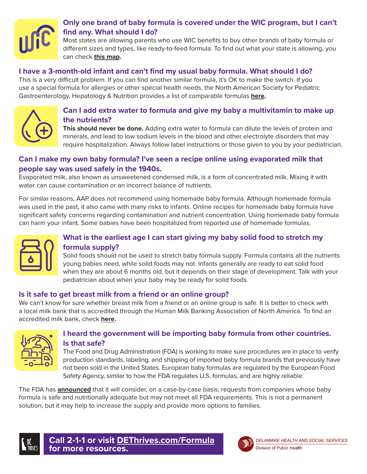

# **Only one brand of baby formula is covered under the WIC program, but I can't find any. What should I do?**

Most states are allowing parents who use WIC benefits to buy other brands of baby formula or different sizes and types, like ready-to-feed formula. To find out what your state is allowing, you can check **[this map.](https://www.fns.usda.gov/wic/infant-formula-waiver-status)**

#### **I have a 3-month-old infant and can't find my usual baby formula. What should I do?**

This is a very difficult problem. If you can find another similar formula, it's OK to make the switch. If you use a special formula for allergies or other special health needs, the North American Society for Pediatric Gastroenterology, Hepatology & Nutrition provides a list of comparable formulas **[here](https://naspghan.org/recent-news/naspghan-tools-for-hcps-affected-by-formula-recall/).**



#### **Can I add extra water to formula and give my baby a multivitamin to make up the nutrients?**

**This should never be done.** Adding extra water to formula can dilute the levels of protein and minerals, and lead to low sodium levels in the blood and other electrolyte disorders that may require hospitalization. Always follow label instructions or those given to you by your pediatrician.

# **Can I make my own baby formula? I've seen a recipe online using evaporated milk that people say was used safely in the 1940s.**

Evaporated milk, also known as unsweetened condensed milk, is a form of concentrated milk. Mixing it with water can cause contamination or an incorrect balance of nutrients.

For similar reasons, AAP does not recommend using homemade baby formula. Although homemade formula was used in the past, it also came with many risks to infants. Online recipes for homemade baby formula have significant safety concerns regarding contamination and nutrient concentration. Using homemade baby formula can harm your infant. Some babies have been hospitalized from reported use of homemade formulas.



# **What is the earliest age I can start giving my baby solid food to stretch my formula supply?**

Solid foods should not be used to stretch baby formula supply. Formula contains all the nutrients young babies need, while solid foods may not. Infants generally are ready to eat solid food when they are about 6 months old, but it depends on their stage of development. Talk with your pediatrician about when your baby may be ready for solid foods.

#### **Is it safe to get breast milk from a friend or an online group?**

We can't know for sure whether breast milk from a friend or an online group is safe. It is better to check with a local milk bank that is accredited through the Human Milk Banking Association of North America. To find an accredited milk bank, check **[here](https://www.hmbana.org/find-a-milk-bank/).**



# **I heard the government will be importing baby formula from other countries. Is that safe?**

The Food and Drug Administration (FDA) is working to make sure procedures are in place to verify production standards, labeling, and shipping of imported baby formula brands that previously have not been sold in the United States. European baby formulas are regulated by the European Food Safety Agency, similar to how the FDA regulates U.S. formulas, and are highly reliable.

The FDA has **[announced](https://www.fda.gov/food/infant-formula-guidance-documents-regulatory-information/enforcement-discretion-manufacturers-increase-infant-formula-supplies)** that it will consider, on a case-by-case basis, requests from companies whose baby formula is safe and nutritionally adequate but may not meet all FDA requirements. This is not a permanent solution, but it may help to increase the supply and provide more options to families.



**Call 2-1-1 or visit DE[Thrives.com/Formula](http://dethrives.com/formula) for more resources.**

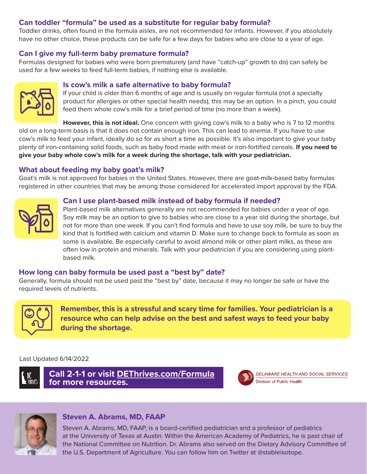#### **Can toddler "formula" be used as a substitute for regular baby formula?**

Toddler drinks, often found in the formula aisles, are not recommended for infants. However, if you absolutely have no other choice, these products can be safe for a few days for babies who are close to a year of age.

#### **Can I give my full-term baby premature formula?**

Formulas designed for babies who were born prematurely (and have "catch-up" growth to do) can safely be used for a few weeks to feed full-term babies, if nothing else is available.



#### **Is cow's milk a safe alternative to baby formula?**

If your child is older than 6 months of age and is usually on regular formula (not a specialty product for allergies or other special health needs), this may be an option. In a pinch, you could feed them whole cow's milk for a brief period of time (no more than a week).

**However, this is not ideal.** One concern with giving cow's milk to a baby who is 7 to 12 months old on a long-term basis is that it does not contain enough iron. This can lead to anemia. If you have to use cow's milk to feed your infant, ideally do so for as short a time as possible. It's also important to give your baby plenty of iron-containing solid foods, such as baby food made with meat or iron-fortified cereals. **If you need to give your baby whole cow's milk for a week during the shortage, talk with your pediatrician.**

#### **What about feeding my baby goat's milk?**

Goat's milk is not approved for babies in the United States. However, there are goat-milk-based baby formulas registered in other countries that may be among those considered for accelerated import approval by the FDA.

#### **Can I use plant-based milk instead of baby formula if needed?**



Plant-based milk alternatives generally are not recommended for babies under a year of age. Soy milk may be an option to give to babies who are close to a year old during the shortage, but not for more than one week. If you can't find formula and have to use soy milk, be sure to buy the kind that is fortified with calcium and vitamin D. Make sure to change back to formula as soon as some is available. Be especially careful to avoid almond milk or other plant milks, as these are often low in protein and minerals. Talk with your pediatrician if you are considering using plantbased milk.

#### **How long can baby formula be used past a "best by" date?**

Generally, formula should not be used past the "best by" date, because it may no longer be safe or have the required levels of nutrients.



**Remember, this is a stressful and scary time for families. Your pediatrician is a resource who can help advise on the best and safest ways to feed your baby during the shortage.**

#### Last Updated 6/14/2022



**Call 2-1-1 or visit DE[Thrives.com/Formula](http://dethrives.com/formula) for more resources.**



DELAWARE HEALTH AND SOCIAL SERVICES Division of Public Health



#### **Steven A. Abrams, MD, FAAP**

Steven A. Abrams, MD, FAAP, is a board-certified pediatrician and a professor of pediatrics at the University of Texas at Austin. Within the American Academy of Pediatrics, he is past chair of the National Committee on Nutrition. Dr. Abrams also served on the Dietary Advisory Committee of the U.S. Department of Agriculture. You can follow him on Twitter at @stableisotope.